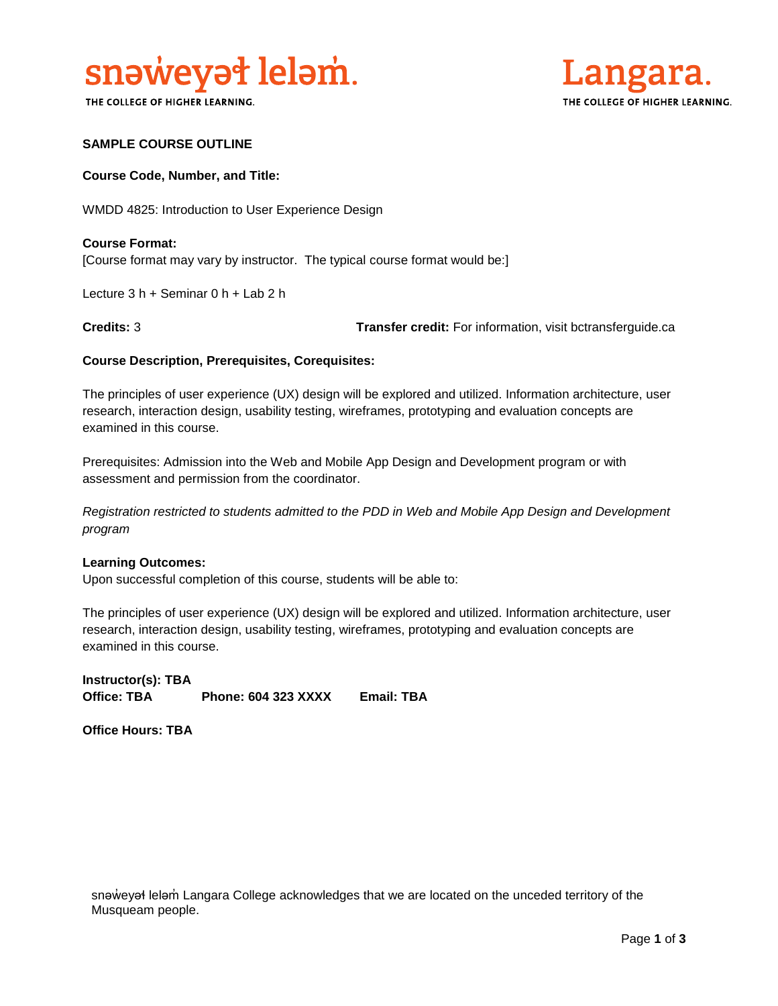

THE COLLEGE OF HIGHER LEARNING.



# **SAMPLE COURSE OUTLINE**

### **Course Code, Number, and Title:**

WMDD 4825: Introduction to User Experience Design

**Course Format:** [Course format may vary by instructor. The typical course format would be:]

Lecture 3 h + Seminar 0 h + Lab 2 h

**Credits:** 3 **Transfer credit:** For information, visit bctransferguide.ca

### **Course Description, Prerequisites, Corequisites:**

The principles of user experience (UX) design will be explored and utilized. Information architecture, user research, interaction design, usability testing, wireframes, prototyping and evaluation concepts are examined in this course.

Prerequisites: Admission into the Web and Mobile App Design and Development program or with assessment and permission from the coordinator.

*Registration restricted to students admitted to the PDD in Web and Mobile App Design and Development program* 

#### **Learning Outcomes:**

Upon successful completion of this course, students will be able to:

The principles of user experience (UX) design will be explored and utilized. Information architecture, user research, interaction design, usability testing, wireframes, prototyping and evaluation concepts are examined in this course.

**Instructor(s): TBA Office: TBA Phone: 604 323 XXXX Email: TBA**

**Office Hours: TBA** 

snəweyał leləm Langara College acknowledges that we are located on the unceded territory of the Musqueam people.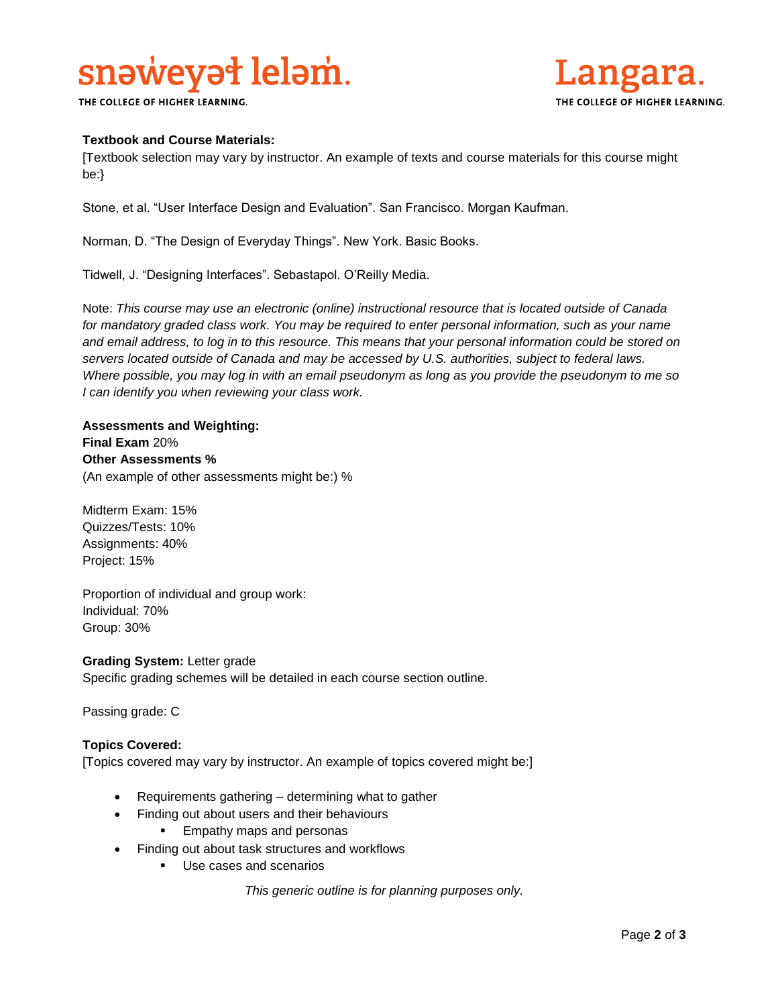# snaweyat lelam.

THE COLLEGE OF HIGHER LEARNING.



# **Textbook and Course Materials:**

[Textbook selection may vary by instructor. An example of texts and course materials for this course might be:}

Stone, et al. "User Interface Design and Evaluation". San Francisco. Morgan Kaufman.

Norman, D. "The Design of Everyday Things". New York. Basic Books.

Tidwell, J. "Designing Interfaces". Sebastapol. O'Reilly Media.

Note: *This course may use an electronic (online) instructional resource that is located outside of Canada*  for mandatory graded class work. You may be required to enter personal information, such as your name *and email address, to log in to this resource. This means that your personal information could be stored on servers located outside of Canada and may be accessed by U.S. authorities, subject to federal laws. Where possible, you may log in with an email pseudonym as long as you provide the pseudonym to me so I can identify you when reviewing your class work.* 

**Assessments and Weighting: Final Exam** 20% **Other Assessments %** (An example of other assessments might be:) %

Midterm Exam: 15% Quizzes/Tests: 10% Assignments: 40% Project: 15%

Proportion of individual and group work: Individual: 70% Group: 30%

**Grading System:** Letter grade Specific grading schemes will be detailed in each course section outline.

Passing grade: C

# **Topics Covered:**

[Topics covered may vary by instructor. An example of topics covered might be:]

- Requirements gathering determining what to gather
	- Finding out about users and their behaviours
		- Empathy maps and personas
- Finding out about task structures and workflows
	- Use cases and scenarios

*This generic outline is for planning purposes only.*